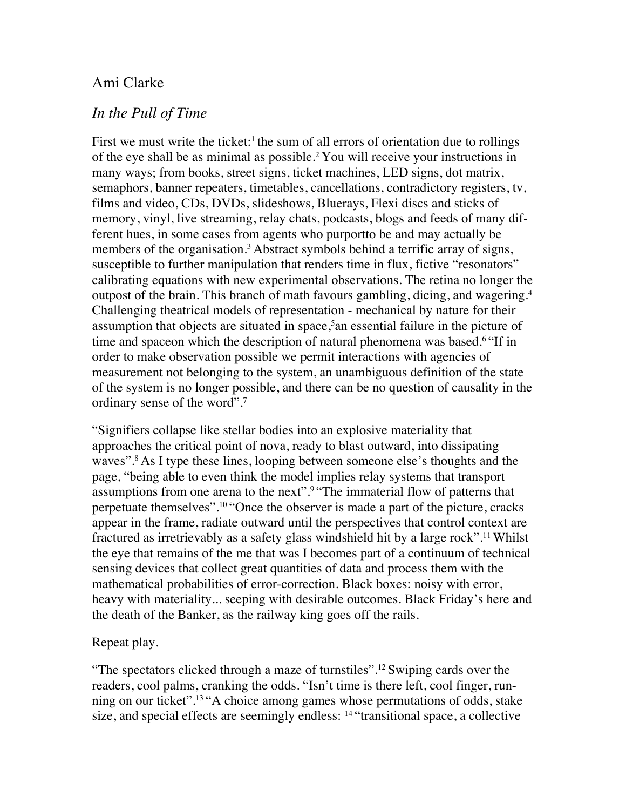# Ami Clarke

## *In the Pull of Time*

First we must write the ticket: $\frac{1}{1}$  the sum of all errors of orientation due to rollings of the eye shall be as minimal as possible.2 You will receive your instructions in many ways; from books, street signs, ticket machines, LED signs, dot matrix, semaphors, banner repeaters, timetables, cancellations, contradictory registers, tv, films and video, CDs, DVDs, slideshows, Bluerays, Flexi discs and sticks of memory, vinyl, live streaming, relay chats, podcasts, blogs and feeds of many different hues, in some cases from agents who purportto be and may actually be members of the organisation.<sup>3</sup> Abstract symbols behind a terrific array of signs, susceptible to further manipulation that renders time in flux, fictive "resonators" calibrating equations with new experimental observations. The retina no longer the outpost of the brain. This branch of math favours gambling, dicing, and wagering.4 Challenging theatrical models of representation - mechanical by nature for their assumption that objects are situated in space,<sup>5</sup> an essential failure in the picture of time and spaceon which the description of natural phenomena was based.6 "If in order to make observation possible we permit interactions with agencies of measurement not belonging to the system, an unambiguous definition of the state of the system is no longer possible, and there can be no question of causality in the ordinary sense of the word".7

"Signifiers collapse like stellar bodies into an explosive materiality that approaches the critical point of nova, ready to blast outward, into dissipating waves".<sup>8</sup> As I type these lines, looping between someone else's thoughts and the page, "being able to even think the model implies relay systems that transport assumptions from one arena to the next".9 "The immaterial flow of patterns that perpetuate themselves".10 "Once the observer is made a part of the picture, cracks appear in the frame, radiate outward until the perspectives that control context are fractured as irretrievably as a safety glass windshield hit by a large rock".11 Whilst the eye that remains of the me that was I becomes part of a continuum of technical sensing devices that collect great quantities of data and process them with the mathematical probabilities of error-correction. Black boxes: noisy with error, heavy with materiality... seeping with desirable outcomes. Black Friday's here and the death of the Banker, as the railway king goes off the rails.

## Repeat play.

"The spectators clicked through a maze of turnstiles".12 Swiping cards over the readers, cool palms, cranking the odds. "Isn't time is there left, cool finger, running on our ticket".13 "A choice among games whose permutations of odds, stake size, and special effects are seemingly endless: 14 "transitional space, a collective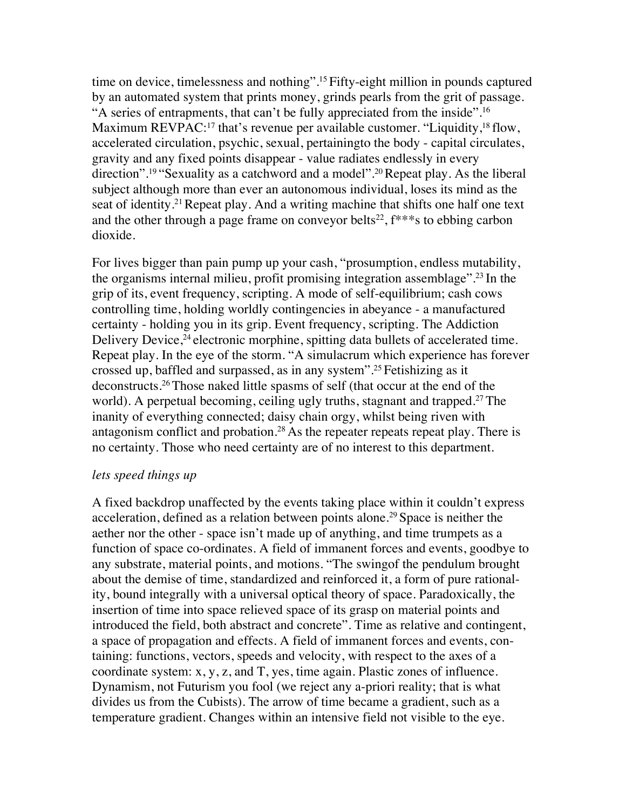time on device, timelessness and nothing".15 Fifty-eight million in pounds captured by an automated system that prints money, grinds pearls from the grit of passage. "A series of entrapments, that can't be fully appreciated from the inside".16 Maximum REVPAC:<sup>17</sup> that's revenue per available customer. "Liquidity,<sup>18</sup> flow, accelerated circulation, psychic, sexual, pertainingto the body - capital circulates, gravity and any fixed points disappear - value radiates endlessly in every direction".19 "Sexuality as a catchword and a model".20 Repeat play. As the liberal subject although more than ever an autonomous individual, loses its mind as the seat of identity.21 Repeat play. And a writing machine that shifts one half one text and the other through a page frame on conveyor belts<sup>22</sup>,  $f^{***}$ s to ebbing carbon dioxide.

For lives bigger than pain pump up your cash, "prosumption, endless mutability, the organisms internal milieu, profit promising integration assemblage".23 In the grip of its, event frequency, scripting. A mode of self-equilibrium; cash cows controlling time, holding worldly contingencies in abeyance - a manufactured certainty - holding you in its grip. Event frequency, scripting. The Addiction Delivery Device,<sup>24</sup> electronic morphine, spitting data bullets of accelerated time. Repeat play. In the eye of the storm. "A simulacrum which experience has forever crossed up, baffled and surpassed, as in any system".25 Fetishizing as it deconstructs.26 Those naked little spasms of self (that occur at the end of the world). A perpetual becoming, ceiling ugly truths, stagnant and trapped.<sup>27</sup> The inanity of everything connected; daisy chain orgy, whilst being riven with antagonism conflict and probation.<sup>28</sup> As the repeater repeats repeat play. There is no certainty. Those who need certainty are of no interest to this department.

### *lets speed things up*

A fixed backdrop unaffected by the events taking place within it couldn't express acceleration, defined as a relation between points alone.29 Space is neither the aether nor the other - space isn't made up of anything, and time trumpets as a function of space co-ordinates. A field of immanent forces and events, goodbye to any substrate, material points, and motions. "The swingof the pendulum brought about the demise of time, standardized and reinforced it, a form of pure rationality, bound integrally with a universal optical theory of space. Paradoxically, the insertion of time into space relieved space of its grasp on material points and introduced the field, both abstract and concrete". Time as relative and contingent, a space of propagation and effects. A field of immanent forces and events, containing: functions, vectors, speeds and velocity, with respect to the axes of a coordinate system: x, y, z, and T, yes, time again. Plastic zones of influence. Dynamism, not Futurism you fool (we reject any a-priori reality; that is what divides us from the Cubists). The arrow of time became a gradient, such as a temperature gradient. Changes within an intensive field not visible to the eye.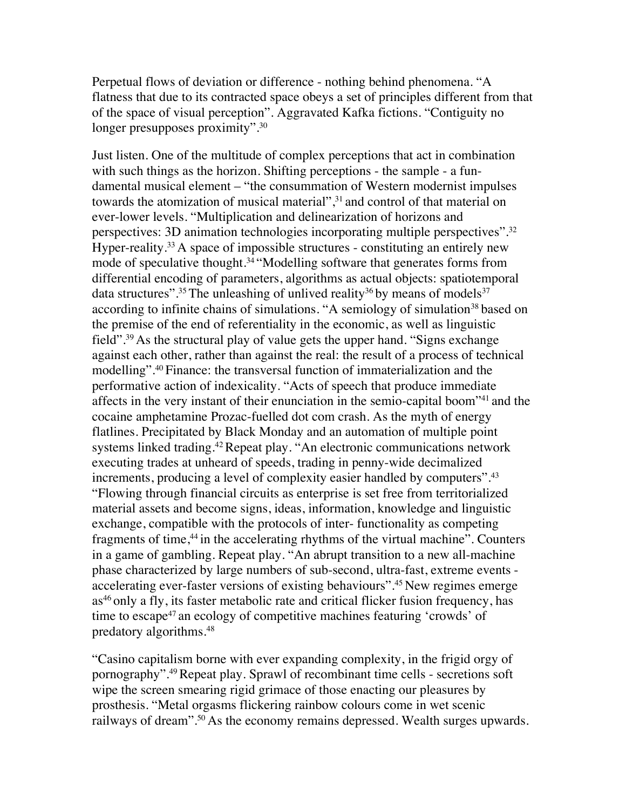Perpetual flows of deviation or difference - nothing behind phenomena. "A flatness that due to its contracted space obeys a set of principles different from that of the space of visual perception". Aggravated Kafka fictions. "Contiguity no longer presupposes proximity".<sup>30</sup>

Just listen. One of the multitude of complex perceptions that act in combination with such things as the horizon. Shifting perceptions - the sample - a fundamental musical element – "the consummation of Western modernist impulses towards the atomization of musical material",<sup>31</sup> and control of that material on ever-lower levels. "Multiplication and delinearization of horizons and perspectives: 3D animation technologies incorporating multiple perspectives".32 Hyper-reality.<sup>33</sup> A space of impossible structures - constituting an entirely new mode of speculative thought.<sup>34</sup> "Modelling software that generates forms from differential encoding of parameters, algorithms as actual objects: spatiotemporal data structures".<sup>35</sup> The unleashing of unlived reality<sup>36</sup> by means of models<sup>37</sup> according to infinite chains of simulations. "A semiology of simulation<sup>38</sup> based on the premise of the end of referentiality in the economic, as well as linguistic field".39 As the structural play of value gets the upper hand. "Signs exchange against each other, rather than against the real: the result of a process of technical modelling".40 Finance: the transversal function of immaterialization and the performative action of indexicality. "Acts of speech that produce immediate affects in the very instant of their enunciation in the semio-capital boom"41 and the cocaine amphetamine Prozac-fuelled dot com crash. As the myth of energy flatlines. Precipitated by Black Monday and an automation of multiple point systems linked trading.<sup>42</sup> Repeat play. "An electronic communications network executing trades at unheard of speeds, trading in penny-wide decimalized increments, producing a level of complexity easier handled by computers".<sup>43</sup> "Flowing through financial circuits as enterprise is set free from territorialized material assets and become signs, ideas, information, knowledge and linguistic exchange, compatible with the protocols of inter- functionality as competing fragments of time,<sup>44</sup> in the accelerating rhythms of the virtual machine". Counters in a game of gambling. Repeat play. "An abrupt transition to a new all-machine phase characterized by large numbers of sub-second, ultra-fast, extreme events accelerating ever-faster versions of existing behaviours".45 New regimes emerge as<sup>46</sup> only a fly, its faster metabolic rate and critical flicker fusion frequency, has time to escape<sup>47</sup> an ecology of competitive machines featuring 'crowds' of predatory algorithms.48

"Casino capitalism borne with ever expanding complexity, in the frigid orgy of pornography".49 Repeat play. Sprawl of recombinant time cells - secretions soft wipe the screen smearing rigid grimace of those enacting our pleasures by prosthesis. "Metal orgasms flickering rainbow colours come in wet scenic railways of dream".<sup>50</sup> As the economy remains depressed. Wealth surges upwards.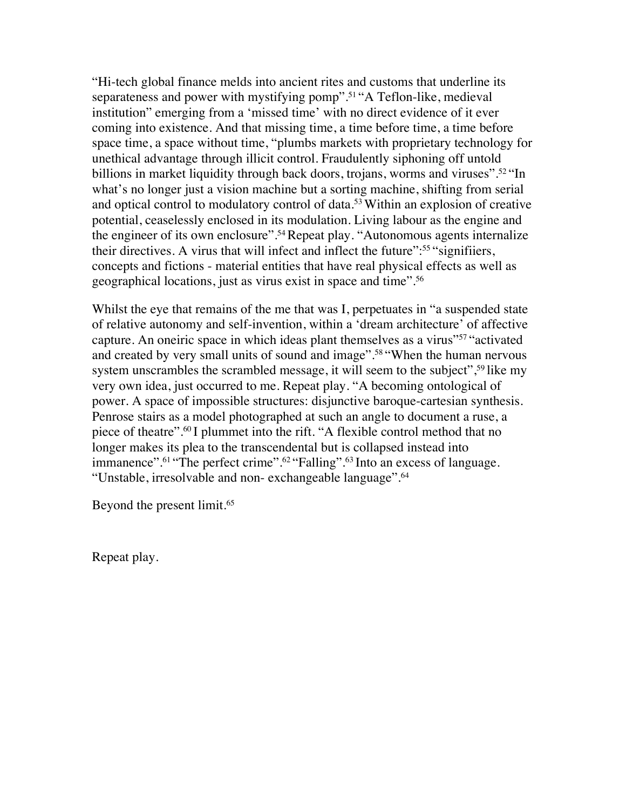"Hi-tech global finance melds into ancient rites and customs that underline its separateness and power with mystifying pomp".51 "A Teflon-like, medieval institution" emerging from a 'missed time' with no direct evidence of it ever coming into existence. And that missing time, a time before time, a time before space time, a space without time, "plumbs markets with proprietary technology for unethical advantage through illicit control. Fraudulently siphoning off untold billions in market liquidity through back doors, trojans, worms and viruses".<sup>52</sup> "In what's no longer just a vision machine but a sorting machine, shifting from serial and optical control to modulatory control of data.53 Within an explosion of creative potential, ceaselessly enclosed in its modulation. Living labour as the engine and the engineer of its own enclosure".54 Repeat play. "Autonomous agents internalize their directives. A virus that will infect and inflect the future":55 "signifiiers, concepts and fictions - material entities that have real physical effects as well as geographical locations, just as virus exist in space and time".56

Whilst the eye that remains of the me that was I, perpetuates in "a suspended state of relative autonomy and self-invention, within a 'dream architecture' of affective capture. An oneiric space in which ideas plant themselves as a virus"57 "activated and created by very small units of sound and image".58 "When the human nervous system unscrambles the scrambled message, it will seem to the subject",<sup>59</sup> like my very own idea, just occurred to me. Repeat play. "A becoming ontological of power. A space of impossible structures: disjunctive baroque-cartesian synthesis. Penrose stairs as a model photographed at such an angle to document a ruse, a piece of theatre".60 I plummet into the rift. "A flexible control method that no longer makes its plea to the transcendental but is collapsed instead into immanence".<sup>61</sup> "The perfect crime".<sup>62</sup> "Falling".<sup>63</sup> Into an excess of language. "Unstable, irresolvable and non- exchangeable language".64

Beyond the present limit.<sup>65</sup>

Repeat play.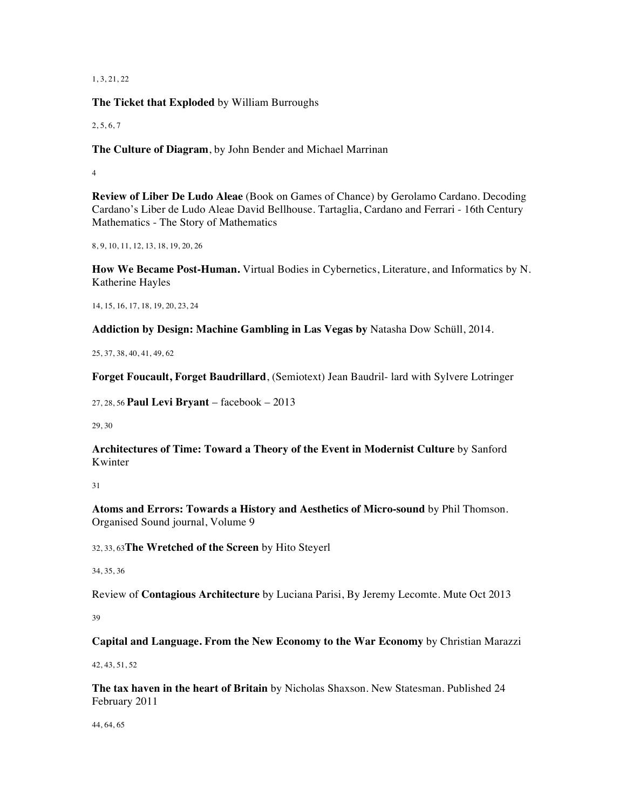1, 3, 21, 22

**The Ticket that Exploded** by William Burroughs

2, 5, 6, 7

**The Culture of Diagram**, by John Bender and Michael Marrinan

4

**Review of Liber De Ludo Aleae** (Book on Games of Chance) by Gerolamo Cardano. Decoding Cardano's Liber de Ludo Aleae David Bellhouse. Tartaglia, Cardano and Ferrari - 16th Century Mathematics - The Story of Mathematics

8, 9, 10, 11, 12, 13, 18, 19, 20, 26

**How We Became Post-Human.** Virtual Bodies in Cybernetics, Literature, and Informatics by N. Katherine Hayles

14, 15, 16, 17, 18, 19, 20, 23, 24

**Addiction by Design: Machine Gambling in Las Vegas by** Natasha Dow Schüll, 2014.

25, 37, 38, 40, 41, 49, 62

**Forget Foucault, Forget Baudrillard**, (Semiotext) Jean Baudril- lard with Sylvere Lotringer

27, 28, 56 **Paul Levi Bryant** – facebook – 2013

29, 30

**Architectures of Time: Toward a Theory of the Event in Modernist Culture** by Sanford Kwinter

31

**Atoms and Errors: Towards a History and Aesthetics of Micro-sound** by Phil Thomson. Organised Sound journal, Volume 9

32, 33, 63**The Wretched of the Screen** by Hito Steyerl

34, 35, 36

Review of **Contagious Architecture** by Luciana Parisi, By Jeremy Lecomte. Mute Oct 2013

39

**Capital and Language. From the New Economy to the War Economy** by Christian Marazzi

42, 43, 51, 52

**The tax haven in the heart of Britain** by Nicholas Shaxson. New Statesman. Published 24 February 2011

44, 64, 65